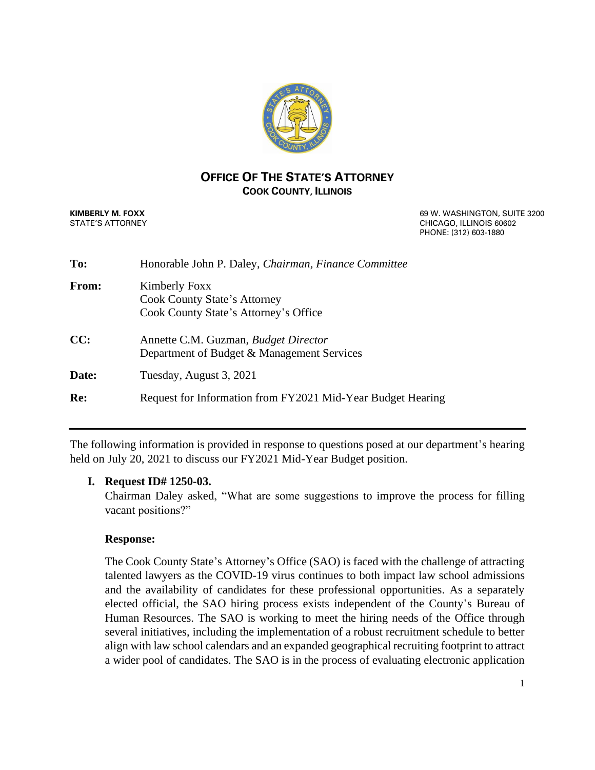

## **OFFICE OF THE STATE'S ATTORNEY COOK COUNTY, ILLINOIS**

**KIMBERLY M. FOXX EXECUTE: CONSUMING THE 3200 69 W. WASHINGTON, SUITE 3200** STATE'S ATTORNEY CHICAGO, ILLINOIS 60602 PHONE: (312) 603-1880

| To:   | Honorable John P. Daley, Chairman, Finance Committee                                          |
|-------|-----------------------------------------------------------------------------------------------|
| From: | Kimberly Foxx<br><b>Cook County State's Attorney</b><br>Cook County State's Attorney's Office |
| CC:   | Annette C.M. Guzman, Budget Director<br>Department of Budget & Management Services            |
| Date: | Tuesday, August 3, 2021                                                                       |
| Re:   | Request for Information from FY2021 Mid-Year Budget Hearing                                   |

The following information is provided in response to questions posed at our department's hearing held on July 20, 2021 to discuss our FY2021 Mid-Year Budget position.

# **I. Request ID# 1250-03.**

Chairman Daley asked, "What are some suggestions to improve the process for filling vacant positions?"

### **Response:**

The Cook County State's Attorney's Office (SAO) is faced with the challenge of attracting talented lawyers as the COVID-19 virus continues to both impact law school admissions and the availability of candidates for these professional opportunities. As a separately elected official, the SAO hiring process exists independent of the County's Bureau of Human Resources. The SAO is working to meet the hiring needs of the Office through several initiatives, including the implementation of a robust recruitment schedule to better align with law school calendars and an expanded geographical recruiting footprint to attract a wider pool of candidates. The SAO is in the process of evaluating electronic application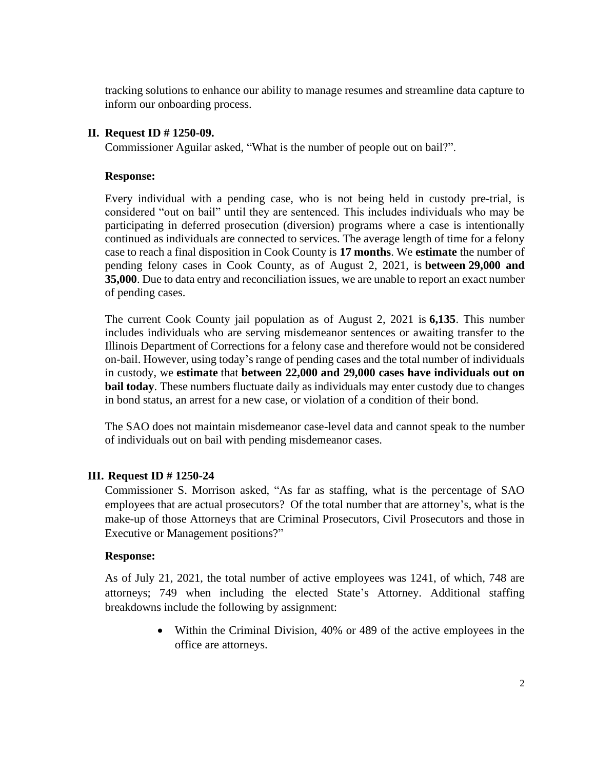tracking solutions to enhance our ability to manage resumes and streamline data capture to inform our onboarding process.

### **II. Request ID # 1250-09.**

Commissioner Aguilar asked, "What is the number of people out on bail?".

### **Response:**

Every individual with a pending case, who is not being held in custody pre-trial, is considered "out on bail" until they are sentenced. This includes individuals who may be participating in deferred prosecution (diversion) programs where a case is intentionally continued as individuals are connected to services. The average length of time for a felony case to reach a final disposition in Cook County is **17 months**. We **estimate** the number of pending felony cases in Cook County, as of August 2, 2021, is **between 29,000 and 35,000**. Due to data entry and reconciliation issues, we are unable to report an exact number of pending cases.

The current Cook County jail population as of August 2, 2021 is **6,135**. This number includes individuals who are serving misdemeanor sentences or awaiting transfer to the Illinois Department of Corrections for a felony case and therefore would not be considered on-bail. However, using today's range of pending cases and the total number of individuals in custody, we **estimate** that **between 22,000 and 29,000 cases have individuals out on bail today**. These numbers fluctuate daily as individuals may enter custody due to changes in bond status, an arrest for a new case, or violation of a condition of their bond.

The SAO does not maintain misdemeanor case-level data and cannot speak to the number of individuals out on bail with pending misdemeanor cases.

# **III. Request ID # 1250-24**

Commissioner S. Morrison asked, "As far as staffing, what is the percentage of SAO employees that are actual prosecutors? Of the total number that are attorney's, what is the make-up of those Attorneys that are Criminal Prosecutors, Civil Prosecutors and those in Executive or Management positions?"

### **Response:**

As of July 21, 2021, the total number of active employees was 1241, of which, 748 are attorneys; 749 when including the elected State's Attorney. Additional staffing breakdowns include the following by assignment:

> • Within the Criminal Division, 40% or 489 of the active employees in the office are attorneys.